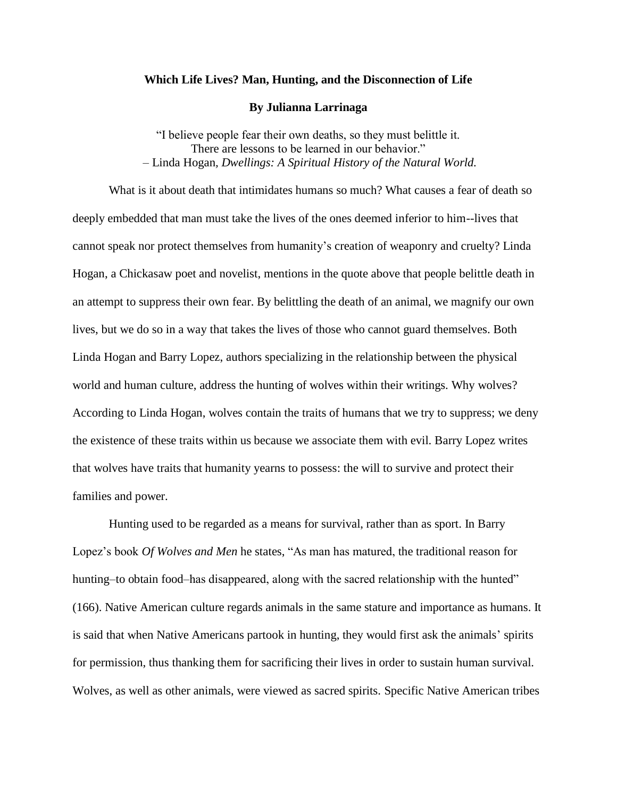## **Which Life Lives? Man, Hunting, and the Disconnection of Life**

## **By Julianna Larrinaga**

"I believe people fear their own deaths, so they must belittle it. There are lessons to be learned in our behavior." *–* Linda Hogan*, Dwellings: A Spiritual History of the Natural World.*

What is it about death that intimidates humans so much? What causes a fear of death so deeply embedded that man must take the lives of the ones deemed inferior to him--lives that cannot speak nor protect themselves from humanity's creation of weaponry and cruelty? Linda Hogan, a Chickasaw poet and novelist, mentions in the quote above that people belittle death in an attempt to suppress their own fear. By belittling the death of an animal, we magnify our own lives, but we do so in a way that takes the lives of those who cannot guard themselves. Both Linda Hogan and Barry Lopez, authors specializing in the relationship between the physical world and human culture, address the hunting of wolves within their writings. Why wolves? According to Linda Hogan, wolves contain the traits of humans that we try to suppress; we deny the existence of these traits within us because we associate them with evil. Barry Lopez writes that wolves have traits that humanity yearns to possess: the will to survive and protect their families and power.

Hunting used to be regarded as a means for survival, rather than as sport. In Barry Lopez's book *Of Wolves and Men* he states, "As man has matured, the traditional reason for hunting–to obtain food–has disappeared, along with the sacred relationship with the hunted" (166). Native American culture regards animals in the same stature and importance as humans. It is said that when Native Americans partook in hunting, they would first ask the animals' spirits for permission, thus thanking them for sacrificing their lives in order to sustain human survival. Wolves, as well as other animals, were viewed as sacred spirits. Specific Native American tribes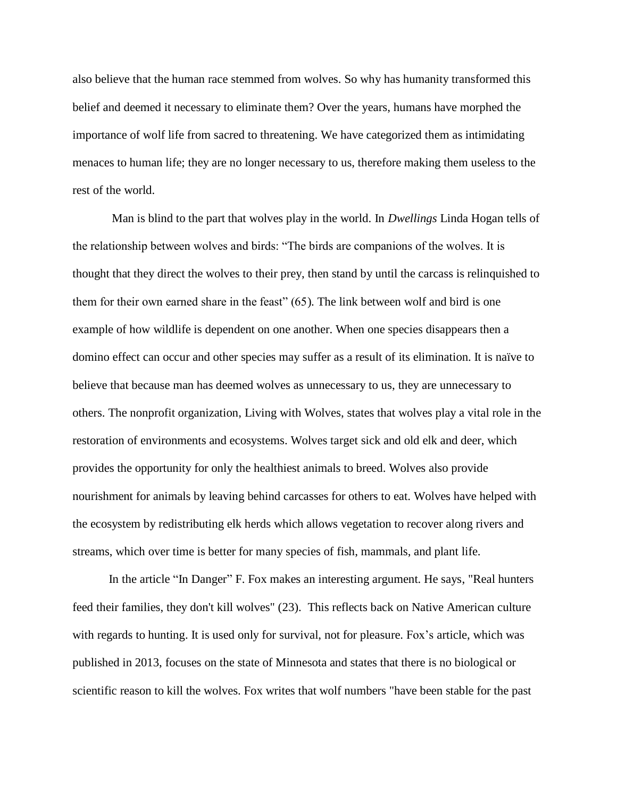also believe that the human race stemmed from wolves. So why has humanity transformed this belief and deemed it necessary to eliminate them? Over the years, humans have morphed the importance of wolf life from sacred to threatening. We have categorized them as intimidating menaces to human life; they are no longer necessary to us, therefore making them useless to the rest of the world.

Man is blind to the part that wolves play in the world. In *Dwellings* Linda Hogan tells of the relationship between wolves and birds: "The birds are companions of the wolves. It is thought that they direct the wolves to their prey, then stand by until the carcass is relinquished to them for their own earned share in the feast" (65). The link between wolf and bird is one example of how wildlife is dependent on one another. When one species disappears then a domino effect can occur and other species may suffer as a result of its elimination. It is naïve to believe that because man has deemed wolves as unnecessary to us, they are unnecessary to others. The nonprofit organization, Living with Wolves, states that wolves play a vital role in the restoration of environments and ecosystems. Wolves target sick and old elk and deer, which provides the opportunity for only the healthiest animals to breed. Wolves also provide nourishment for animals by leaving behind carcasses for others to eat. Wolves have helped with the ecosystem by redistributing elk herds which allows vegetation to recover along rivers and streams, which over time is better for many species of fish, mammals, and plant life.

In the article "In Danger" F. Fox makes an interesting argument. He says, "Real hunters feed their families, they don't kill wolves" (23). This reflects back on Native American culture with regards to hunting. It is used only for survival, not for pleasure. Fox's article, which was published in 2013, focuses on the state of Minnesota and states that there is no biological or scientific reason to kill the wolves. Fox writes that wolf numbers "have been stable for the past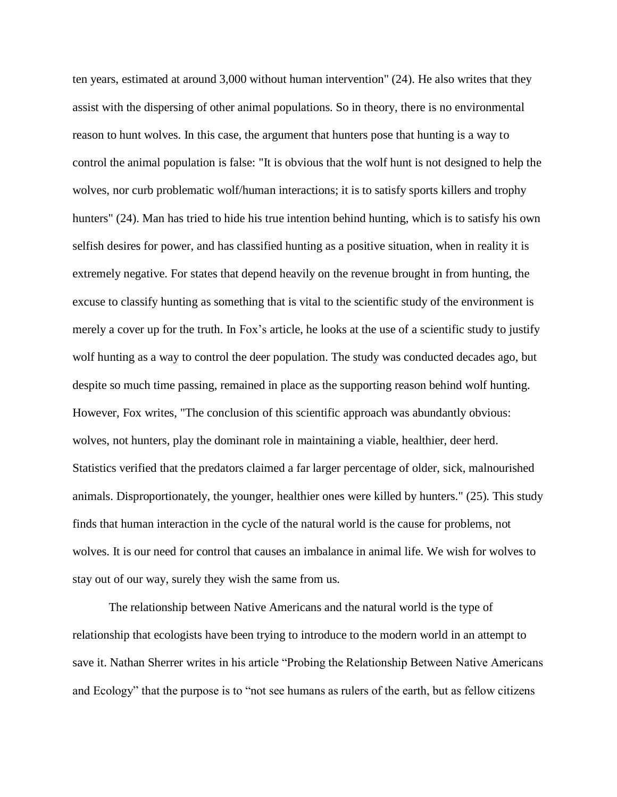ten years, estimated at around 3,000 without human intervention" (24). He also writes that they assist with the dispersing of other animal populations. So in theory, there is no environmental reason to hunt wolves. In this case, the argument that hunters pose that hunting is a way to control the animal population is false: "It is obvious that the wolf hunt is not designed to help the wolves, nor curb problematic wolf/human interactions; it is to satisfy sports killers and trophy hunters" (24). Man has tried to hide his true intention behind hunting, which is to satisfy his own selfish desires for power, and has classified hunting as a positive situation, when in reality it is extremely negative. For states that depend heavily on the revenue brought in from hunting, the excuse to classify hunting as something that is vital to the scientific study of the environment is merely a cover up for the truth. In Fox's article, he looks at the use of a scientific study to justify wolf hunting as a way to control the deer population. The study was conducted decades ago, but despite so much time passing, remained in place as the supporting reason behind wolf hunting. However, Fox writes, "The conclusion of this scientific approach was abundantly obvious: wolves, not hunters, play the dominant role in maintaining a viable, healthier, deer herd. Statistics verified that the predators claimed a far larger percentage of older, sick, malnourished animals. Disproportionately, the younger, healthier ones were killed by hunters." (25). This study finds that human interaction in the cycle of the natural world is the cause for problems, not wolves. It is our need for control that causes an imbalance in animal life. We wish for wolves to stay out of our way, surely they wish the same from us.

The relationship between Native Americans and the natural world is the type of relationship that ecologists have been trying to introduce to the modern world in an attempt to save it. Nathan Sherrer writes in his article "Probing the Relationship Between Native Americans and Ecology" that the purpose is to "not see humans as rulers of the earth, but as fellow citizens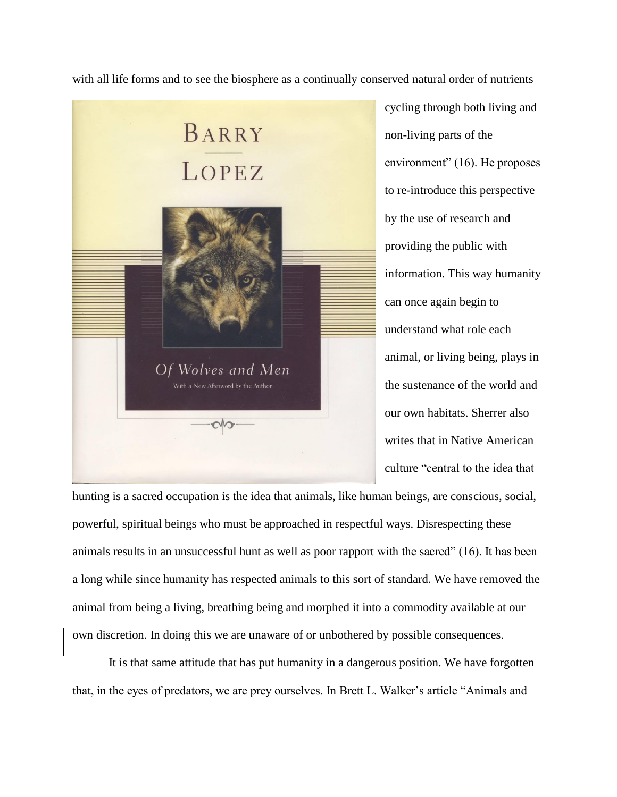with all life forms and to see the biosphere as a continually conserved natural order of nutrients



cycling through both living and non-living parts of the environment" (16). He proposes to re-introduce this perspective by the use of research and providing the public with information. This way humanity can once again begin to understand what role each animal, or living being, plays in the sustenance of the world and our own habitats. Sherrer also writes that in Native American culture "central to the idea that

hunting is a sacred occupation is the idea that animals, like human beings, are conscious, social, powerful, spiritual beings who must be approached in respectful ways. Disrespecting these animals results in an unsuccessful hunt as well as poor rapport with the sacred" (16). It has been a long while since humanity has respected animals to this sort of standard. We have removed the animal from being a living, breathing being and morphed it into a commodity available at our own discretion. In doing this we are unaware of or unbothered by possible consequences.

It is that same attitude that has put humanity in a dangerous position. We have forgotten that, in the eyes of predators, we are prey ourselves. In Brett L. Walker's article "Animals and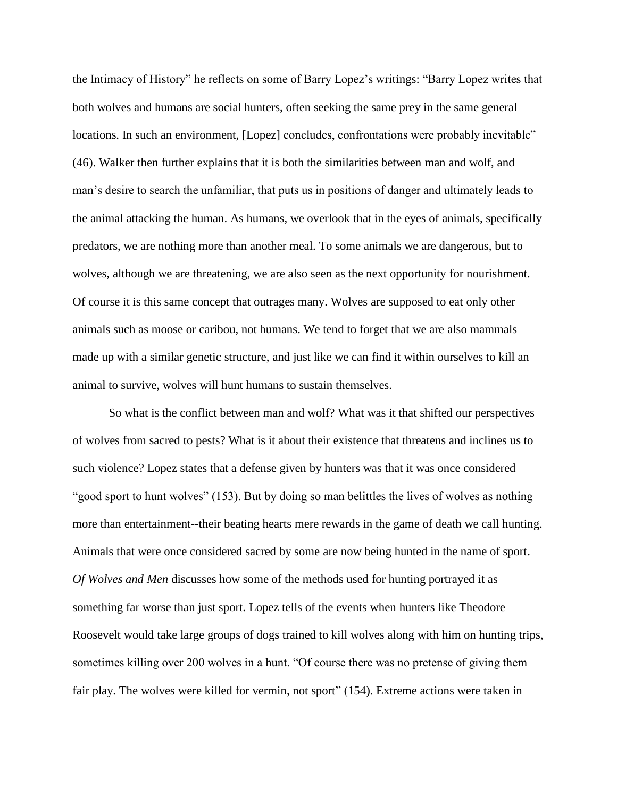the Intimacy of History" he reflects on some of Barry Lopez's writings: "Barry Lopez writes that both wolves and humans are social hunters, often seeking the same prey in the same general locations. In such an environment, [Lopez] concludes, confrontations were probably inevitable" (46). Walker then further explains that it is both the similarities between man and wolf, and man's desire to search the unfamiliar, that puts us in positions of danger and ultimately leads to the animal attacking the human. As humans, we overlook that in the eyes of animals, specifically predators, we are nothing more than another meal. To some animals we are dangerous, but to wolves, although we are threatening, we are also seen as the next opportunity for nourishment. Of course it is this same concept that outrages many. Wolves are supposed to eat only other animals such as moose or caribou, not humans. We tend to forget that we are also mammals made up with a similar genetic structure, and just like we can find it within ourselves to kill an animal to survive, wolves will hunt humans to sustain themselves.

So what is the conflict between man and wolf? What was it that shifted our perspectives of wolves from sacred to pests? What is it about their existence that threatens and inclines us to such violence? Lopez states that a defense given by hunters was that it was once considered "good sport to hunt wolves" (153). But by doing so man belittles the lives of wolves as nothing more than entertainment--their beating hearts mere rewards in the game of death we call hunting. Animals that were once considered sacred by some are now being hunted in the name of sport. *Of Wolves and Men* discusses how some of the methods used for hunting portrayed it as something far worse than just sport. Lopez tells of the events when hunters like Theodore Roosevelt would take large groups of dogs trained to kill wolves along with him on hunting trips, sometimes killing over 200 wolves in a hunt. "Of course there was no pretense of giving them fair play. The wolves were killed for vermin, not sport" (154). Extreme actions were taken in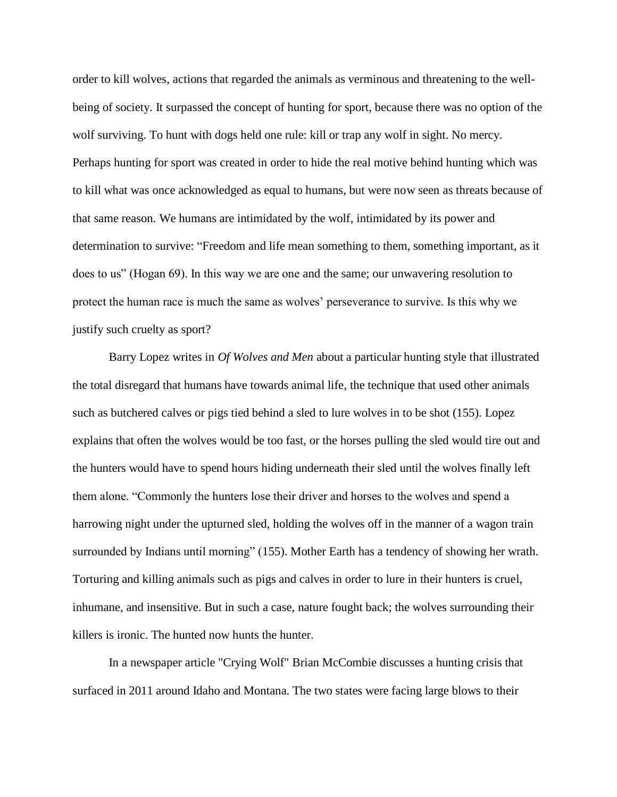order to kill wolves, actions that regarded the animals as verminous and threatening to the wellbeing of society. It surpassed the concept of hunting for sport, because there was no option of the wolf surviving. To hunt with dogs held one rule: kill or trap any wolf in sight. No mercy. Perhaps hunting for sport was created in order to hide the real motive behind hunting which was to kill what was once acknowledged as equal to humans, but were now seen as threats because of that same reason. We humans are intimidated by the wolf, intimidated by its power and determination to survive: "Freedom and life mean something to them, something important, as it does to us" (Hogan 69). In this way we are one and the same; our unwavering resolution to protect the human race is much the same as wolves' perseverance to survive. Is this why we justify such cruelty as sport?

Barry Lopez writes in *Of Wolves and Men* about a particular hunting style that illustrated the total disregard that humans have towards animal life, the technique that used other animals such as butchered calves or pigs tied behind a sled to lure wolves in to be shot (155). Lopez explains that often the wolves would be too fast, or the horses pulling the sled would tire out and the hunters would have to spend hours hiding underneath their sled until the wolves finally left them alone. "Commonly the hunters lose their driver and horses to the wolves and spend a harrowing night under the upturned sled, holding the wolves off in the manner of a wagon train surrounded by Indians until morning" (155). Mother Earth has a tendency of showing her wrath. Torturing and killing animals such as pigs and calves in order to lure in their hunters is cruel, inhumane, and insensitive. But in such a case, nature fought back; the wolves surrounding their killers is ironic. The hunted now hunts the hunter.

In a newspaper article "Crying Wolf" Brian McCombie discusses a hunting crisis that surfaced in 2011 around Idaho and Montana. The two states were facing large blows to their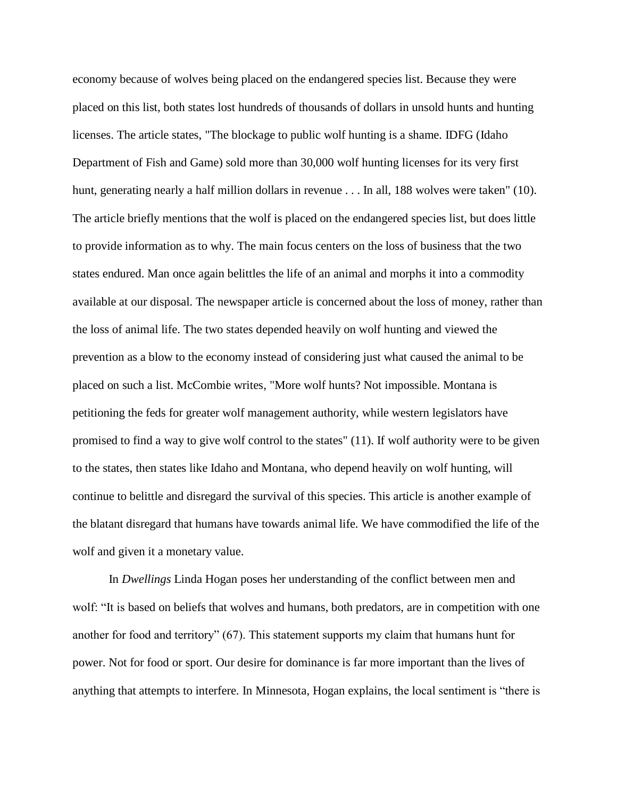economy because of wolves being placed on the endangered species list. Because they were placed on this list, both states lost hundreds of thousands of dollars in unsold hunts and hunting licenses. The article states, "The blockage to public wolf hunting is a shame. IDFG (Idaho Department of Fish and Game) sold more than 30,000 wolf hunting licenses for its very first hunt, generating nearly a half million dollars in revenue . . . In all, 188 wolves were taken" (10). The article briefly mentions that the wolf is placed on the endangered species list, but does little to provide information as to why. The main focus centers on the loss of business that the two states endured. Man once again belittles the life of an animal and morphs it into a commodity available at our disposal. The newspaper article is concerned about the loss of money, rather than the loss of animal life. The two states depended heavily on wolf hunting and viewed the prevention as a blow to the economy instead of considering just what caused the animal to be placed on such a list. McCombie writes, "More wolf hunts? Not impossible. Montana is petitioning the feds for greater wolf management authority, while western legislators have promised to find a way to give wolf control to the states" (11). If wolf authority were to be given to the states, then states like Idaho and Montana, who depend heavily on wolf hunting, will continue to belittle and disregard the survival of this species. This article is another example of the blatant disregard that humans have towards animal life. We have commodified the life of the wolf and given it a monetary value.

In *Dwellings* Linda Hogan poses her understanding of the conflict between men and wolf: "It is based on beliefs that wolves and humans, both predators, are in competition with one another for food and territory" (67). This statement supports my claim that humans hunt for power. Not for food or sport. Our desire for dominance is far more important than the lives of anything that attempts to interfere. In Minnesota, Hogan explains, the local sentiment is "there is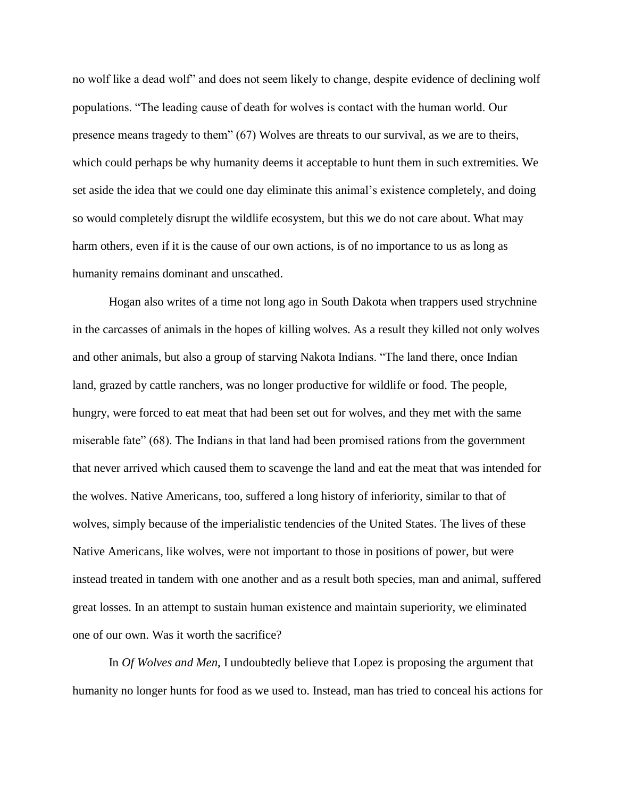no wolf like a dead wolf" and does not seem likely to change, despite evidence of declining wolf populations. "The leading cause of death for wolves is contact with the human world. Our presence means tragedy to them" (67) Wolves are threats to our survival, as we are to theirs, which could perhaps be why humanity deems it acceptable to hunt them in such extremities. We set aside the idea that we could one day eliminate this animal's existence completely, and doing so would completely disrupt the wildlife ecosystem, but this we do not care about. What may harm others, even if it is the cause of our own actions, is of no importance to us as long as humanity remains dominant and unscathed.

Hogan also writes of a time not long ago in South Dakota when trappers used strychnine in the carcasses of animals in the hopes of killing wolves. As a result they killed not only wolves and other animals, but also a group of starving Nakota Indians. "The land there, once Indian land, grazed by cattle ranchers, was no longer productive for wildlife or food. The people, hungry, were forced to eat meat that had been set out for wolves, and they met with the same miserable fate" (68). The Indians in that land had been promised rations from the government that never arrived which caused them to scavenge the land and eat the meat that was intended for the wolves. Native Americans, too, suffered a long history of inferiority, similar to that of wolves, simply because of the imperialistic tendencies of the United States. The lives of these Native Americans, like wolves, were not important to those in positions of power, but were instead treated in tandem with one another and as a result both species, man and animal, suffered great losses. In an attempt to sustain human existence and maintain superiority, we eliminated one of our own. Was it worth the sacrifice?

In *Of Wolves and Men*, I undoubtedly believe that Lopez is proposing the argument that humanity no longer hunts for food as we used to. Instead, man has tried to conceal his actions for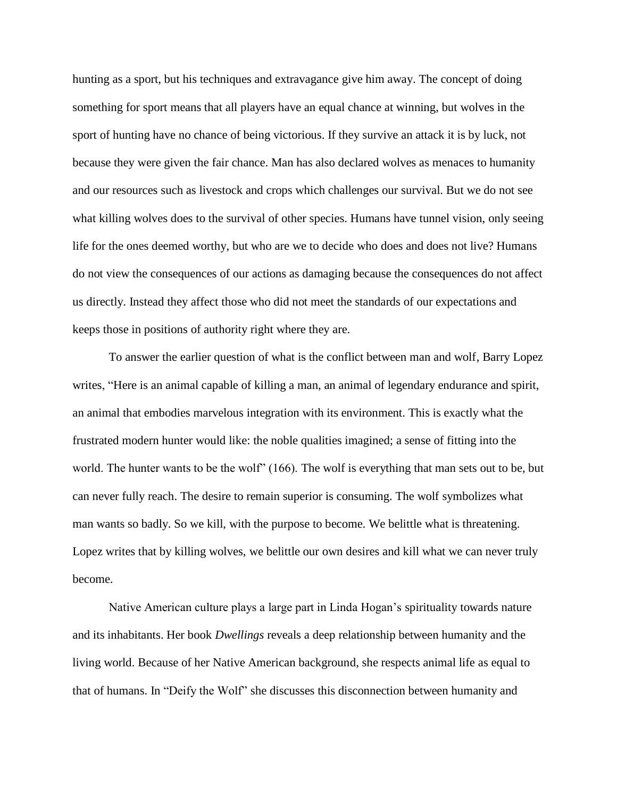hunting as a sport, but his techniques and extravagance give him away. The concept of doing something for sport means that all players have an equal chance at winning, but wolves in the sport of hunting have no chance of being victorious. If they survive an attack it is by luck, not because they were given the fair chance. Man has also declared wolves as menaces to humanity and our resources such as livestock and crops which challenges our survival. But we do not see what killing wolves does to the survival of other species. Humans have tunnel vision, only seeing life for the ones deemed worthy, but who are we to decide who does and does not live? Humans do not view the consequences of our actions as damaging because the consequences do not affect us directly. Instead they affect those who did not meet the standards of our expectations and keeps those in positions of authority right where they are.

To answer the earlier question of what is the conflict between man and wolf, Barry Lopez writes, "Here is an animal capable of killing a man, an animal of legendary endurance and spirit, an animal that embodies marvelous integration with its environment. This is exactly what the frustrated modern hunter would like: the noble qualities imagined; a sense of fitting into the world. The hunter wants to be the wolf" (166). The wolf is everything that man sets out to be, but can never fully reach. The desire to remain superior is consuming. The wolf symbolizes what man wants so badly. So we kill, with the purpose to become. We belittle what is threatening. Lopez writes that by killing wolves, we belittle our own desires and kill what we can never truly become.

Native American culture plays a large part in Linda Hogan's spirituality towards nature and its inhabitants. Her book *Dwellings* reveals a deep relationship between humanity and the living world. Because of her Native American background, she respects animal life as equal to that of humans. In "Deify the Wolf" she discusses this disconnection between humanity and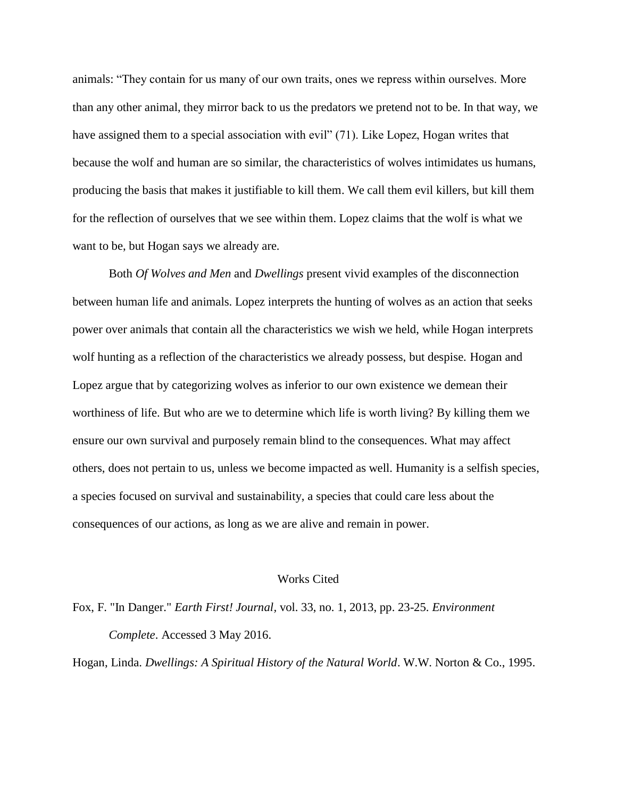animals: "They contain for us many of our own traits, ones we repress within ourselves. More than any other animal, they mirror back to us the predators we pretend not to be. In that way, we have assigned them to a special association with evil" (71). Like Lopez, Hogan writes that because the wolf and human are so similar, the characteristics of wolves intimidates us humans, producing the basis that makes it justifiable to kill them. We call them evil killers, but kill them for the reflection of ourselves that we see within them. Lopez claims that the wolf is what we want to be, but Hogan says we already are.

Both *Of Wolves and Men* and *Dwellings* present vivid examples of the disconnection between human life and animals. Lopez interprets the hunting of wolves as an action that seeks power over animals that contain all the characteristics we wish we held, while Hogan interprets wolf hunting as a reflection of the characteristics we already possess, but despise. Hogan and Lopez argue that by categorizing wolves as inferior to our own existence we demean their worthiness of life. But who are we to determine which life is worth living? By killing them we ensure our own survival and purposely remain blind to the consequences. What may affect others, does not pertain to us, unless we become impacted as well. Humanity is a selfish species, a species focused on survival and sustainability, a species that could care less about the consequences of our actions, as long as we are alive and remain in power.

## Works Cited

Fox, F. "In Danger." *Earth First! Journal,* vol. 33, no. 1, 2013, pp. 23-25. *Environment Complete*. Accessed 3 May 2016.

Hogan, Linda. *Dwellings: A Spiritual History of the Natural World*. W.W. Norton & Co., 1995.